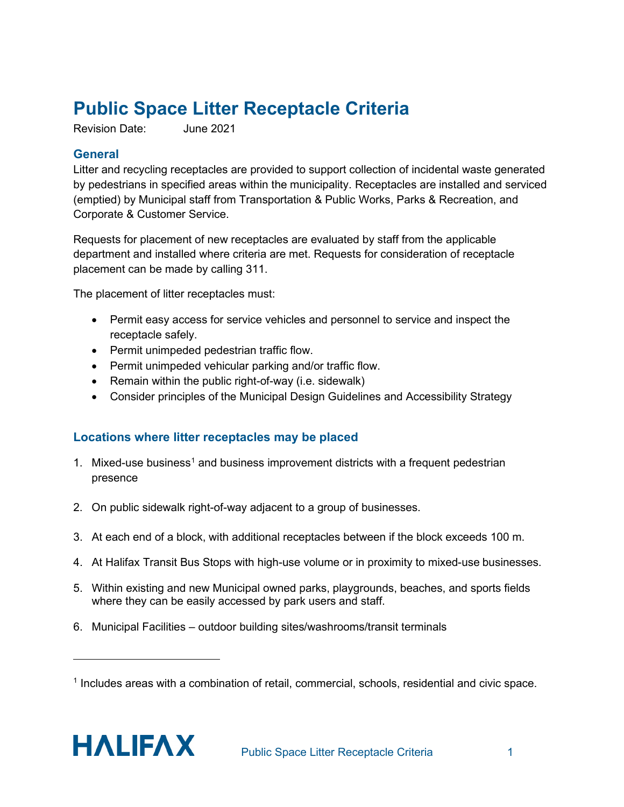# **Public Space Litter Receptacle Criteria**

Revision Date: June 2021

#### **General**

Litter and recycling receptacles are provided to support collection of incidental waste generated by pedestrians in specified areas within the municipality. Receptacles are installed and serviced (emptied) by Municipal staff from Transportation & Public Works, Parks & Recreation, and Corporate & Customer Service.

Requests for placement of new receptacles are evaluated by staff from the applicable department and installed where criteria are met. Requests for consideration of receptacle placement can be made by calling 311.

The placement of litter receptacles must:

- Permit easy access for service vehicles and personnel to service and inspect the receptacle safely.
- Permit unimpeded pedestrian traffic flow.
- Permit unimpeded vehicular parking and/or traffic flow.
- Remain within the public right-of-way (i.e. sidewalk)
- Consider principles of the Municipal Design Guidelines and Accessibility Strategy

## **Locations where litter receptacles may be placed**

- [1](#page-0-0). Mixed-use business<sup>1</sup> and business improvement districts with a frequent pedestrian presence
- 2. On public sidewalk right-of-way adjacent to a group of businesses.
- 3. At each end of a block, with additional receptacles between if the block exceeds 100 m.
- 4. At Halifax Transit Bus Stops with high-use volume or in proximity to mixed-use businesses.
- 5. Within existing and new Municipal owned parks, playgrounds, beaches, and sports fields where they can be easily accessed by park users and staff.
- 6. Municipal Facilities outdoor building sites/washrooms/transit terminals

<span id="page-0-0"></span><sup>1</sup> Includes areas with a combination of retail, commercial, schools, residential and civic space.